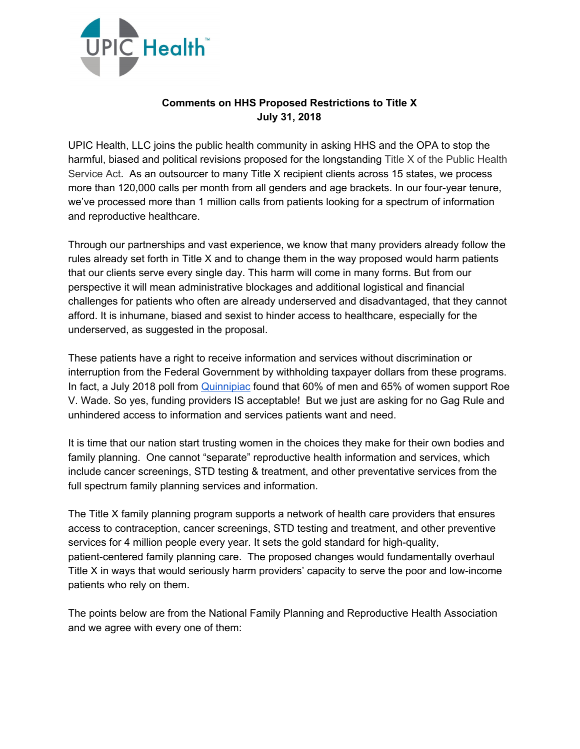

## **Comments on HHS Proposed Restrictions to Title X July 31, 2018**

UPIC Health, LLC joins the public health community in asking HHS and the OPA to stop the harmful, biased and political revisions proposed for the longstanding Title X of the Public Health Service Act. As an outsourcer to many Title X recipient clients across 15 states, we process more than 120,000 calls per month from all genders and age brackets. In our four-year tenure, we've processed more than 1 million calls from patients looking for a spectrum of information and reproductive healthcare.

Through our partnerships and vast experience, we know that many providers already follow the rules already set forth in Title X and to change them in the way proposed would harm patients that our clients serve every single day. This harm will come in many forms. But from our perspective it will mean administrative blockages and additional logistical and financial challenges for patients who often are already underserved and disadvantaged, that they cannot afford. It is inhumane, biased and sexist to hinder access to healthcare, especially for the underserved, as suggested in the proposal.

These patients have a right to receive information and services without discrimination or interruption from the Federal Government by withholding taxpayer dollars from these programs. In fact, a July 2018 poll from [Quinnipiac](https://poll.qu.edu/national/release-detail?ReleaseID=2553) found that 60% of men and 65% of women support Roe V. Wade. So yes, funding providers IS acceptable! But we just are asking for no Gag Rule and unhindered access to information and services patients want and need.

It is time that our nation start trusting women in the choices they make for their own bodies and family planning. One cannot "separate" reproductive health information and services, which include cancer screenings, STD testing & treatment, and other preventative services from the full spectrum family planning services and information.

The Title X family planning program supports a network of health care providers that ensures access to contraception, cancer screenings, STD testing and treatment, and other preventive services for 4 million people every year. It sets the gold standard for high-quality, patient-centered family planning care. The proposed changes would fundamentally overhaul Title X in ways that would seriously harm providers' capacity to serve the poor and low-income patients who rely on them.

The points below are from the National Family Planning and Reproductive Health Association and we agree with every one of them: